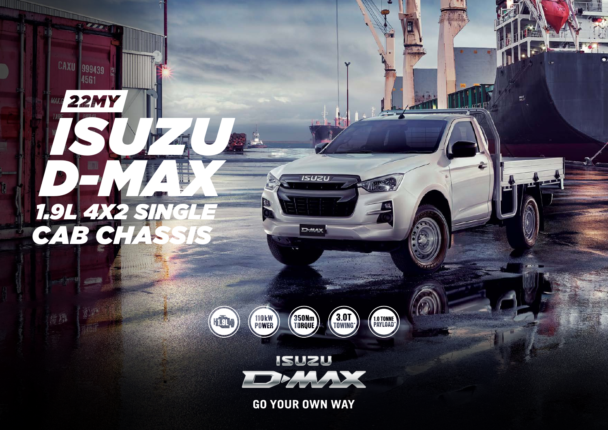

CAXU 999439

MA.

種飾

**22MY** 



เรบzบ

D-MAX

P

 $\bullet$ 

懸

 $\pi$  of  $\P$  P

÷

VП



**GO YOUR OWN WAY**